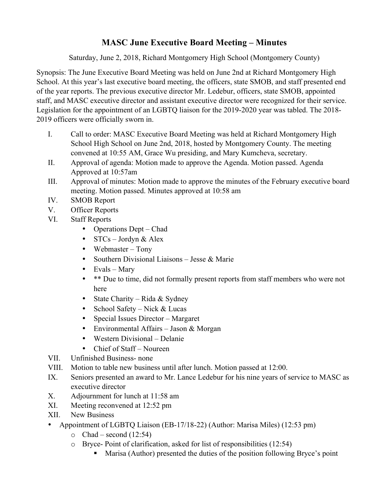## **MASC June Executive Board Meeting – Minutes**

Saturday, June 2, 2018, Richard Montgomery High School (Montgomery County)

Synopsis: The June Executive Board Meeting was held on June 2nd at Richard Montgomery High School. At this year's last executive board meeting, the officers, state SMOB, and staff presented end of the year reports. The previous executive director Mr. Ledebur, officers, state SMOB, appointed staff, and MASC executive director and assistant executive director were recognized for their service. Legislation for the appointment of an LGBTQ liaison for the 2019-2020 year was tabled. The 2018- 2019 officers were officially sworn in.

- I. Call to order: MASC Executive Board Meeting was held at Richard Montgomery High School High School on June 2nd, 2018, hosted by Montgomery County. The meeting convened at 10:55 AM, Grace Wu presiding, and Mary Kumcheva, secretary.
- II. Approval of agenda: Motion made to approve the Agenda. Motion passed. Agenda Approved at 10:57am
- III. Approval of minutes: Motion made to approve the minutes of the February executive board meeting. Motion passed. Minutes approved at 10:58 am
- IV. SMOB Report
- V. Officer Reports
- VI. Staff Reports
	- Operations Dept Chad
	- STCs Jordyn & Alex
	- Webmaster Tony
	- Southern Divisional Liaisons Jesse & Marie
	- Evals Mary
	- \*\* Due to time, did not formally present reports from staff members who were not here
	- State Charity Rida & Sydney
	- School Safety Nick & Lucas
	- Special Issues Director Margaret
	- Environmental Affairs Jason & Morgan
	- Western Divisional Delanie
	- Chief of Staff Noureen
- VII. Unfinished Business- none
- VIII. Motion to table new business until after lunch. Motion passed at 12:00.
- IX. Seniors presented an award to Mr. Lance Ledebur for his nine years of service to MASC as executive director
- X. Adjournment for lunch at 11:58 am
- XI. Meeting reconvened at 12:52 pm
- XII. New Business
- Appointment of LGBTQ Liaison (EB-17/18-22) (Author: Marisa Miles) (12:53 pm)
	- $\circ$  Chad second (12:54)
	- o Bryce- Point of clarification, asked for list of responsibilities (12:54)
		- Marisa (Author) presented the duties of the position following Bryce's point